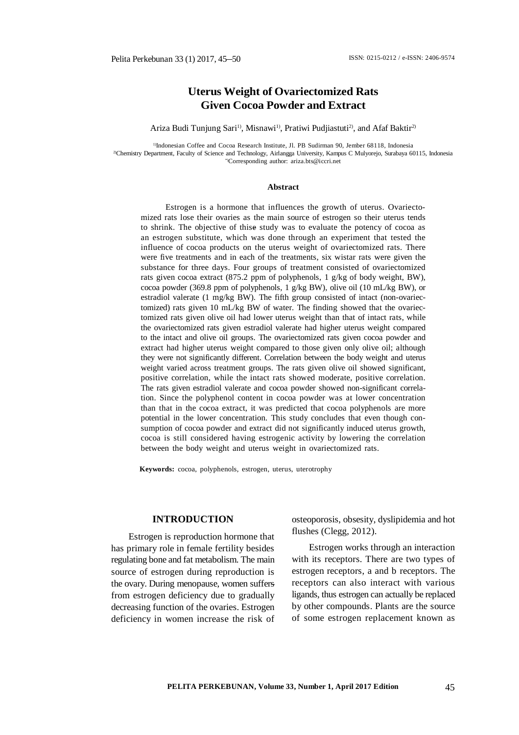# **Uterus Weight of Ovariectomized Rats Given Cocoa Powder and Extract**

### Ariza Budi Tunjung Sari<sup>1)</sup>, Misnawi<sup>1)</sup>, Pratiwi Pudjiastuti<sup>2)</sup>, and Afaf Baktir<sup>2)</sup>

<sup>1)</sup>Indonesian Coffee and Cocoa Research Institute, Jl. PB Sudirman 90, Jember 68118. Indonesia 2)Chemistry Department, Faculty of Science and Technology, Airlangga University, Kampus C Mulyorejo, Surabaya 60115, Indonesia \*)Corresponding author: [ariza.bts@iccri.net](mailto:ariza.bts@iccri.net)

#### **Abstract**

Estrogen is a hormone that influences the growth of uterus. Ovariectomized rats lose their ovaries as the main source of estrogen so their uterus tends to shrink. The objective of thise study was to evaluate the potency of cocoa as an estrogen substitute, which was done through an experiment that tested the influence of cocoa products on the uterus weight of ovariectomized rats. There were five treatments and in each of the treatments, six wistar rats were given the substance for three days. Four groups of treatment consisted of ovariectomized rats given cocoa extract (875.2 ppm of polyphenols, 1 g/kg of body weight, BW), cocoa powder (369.8 ppm of polyphenols, 1 g/kg BW), olive oil (10 mL/kg BW), or estradiol valerate (1 mg/kg BW). The fifth group consisted of intact (non-ovariectomized) rats given 10 mL/kg BW of water. The finding showed that the ovariectomized rats given olive oil had lower uterus weight than that of intact rats, while the ovariectomized rats given estradiol valerate had higher uterus weight compared to the intact and olive oil groups. The ovariectomized rats given cocoa powder and extract had higher uterus weight compared to those given only olive oil; although they were not significantly different. Correlation between the body weight and uterus weight varied across treatment groups. The rats given olive oil showed significant, positive correlation, while the intact rats showed moderate, positive correlation. The rats given estradiol valerate and cocoa powder showed non-significant correlation. Since the polyphenol content in cocoa powder was at lower concentration than that in the cocoa extract, it was predicted that cocoa polyphenols are more potential in the lower concentration. This study concludes that even though consumption of cocoa powder and extract did not significantly induced uterus growth, cocoa is still considered having estrogenic activity by lowering the correlation between the body weight and uterus weight in ovariectomized rats.

**Keywords:** cocoa, polyphenols, estrogen, uterus, uterotrophy

### **INTRODUCTION**

Estrogen is reproduction hormone that has primary role in female fertility besides regulating bone and fat metabolism. The main source of estrogen during reproduction is the ovary. During menopause, women suffers from estrogen deficiency due to gradually decreasing function of the ovaries. Estrogen deficiency in women increase the risk of osteoporosis, obsesity, dyslipidemia and hot flushes (Clegg, 2012).

Estrogen works through an interaction with its receptors. There are two types of estrogen receptors, a and b receptors. The receptors can also interact with various ligands, thus estrogen can actually be replaced by other compounds. Plants are the source of some estrogen replacement known as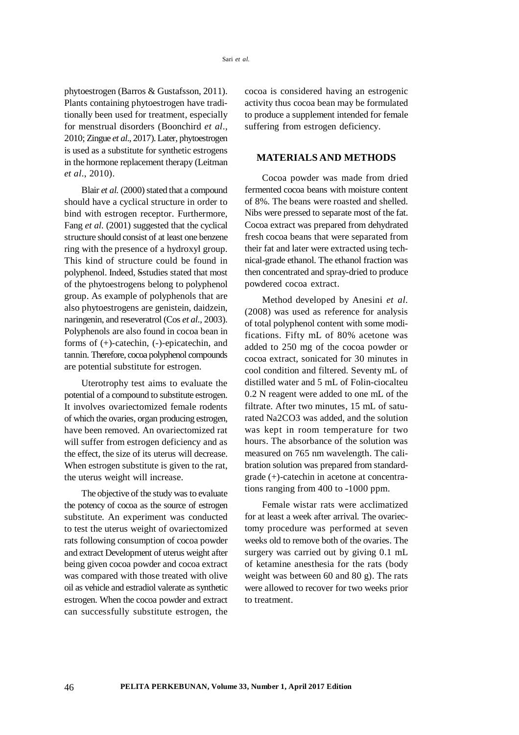phytoestrogen (Barros & Gustafsson, 2011). Plants containing phytoestrogen have traditionally been used for treatment, especially for menstrual disorders (Boonchird *et al*., 2010; Zingue *et al*., 2017). Later, phytoestrogen is used as a substitute for synthetic estrogens in the hormone replacement therapy (Leitman *et al*., 2010).

Blair *et al.* (2000) stated that a compound should have a cyclical structure in order to bind with estrogen receptor. Furthermore, Fang *et al.* (2001) suggested that the cyclical structure should consist of at least one benzene ring with the presence of a hydroxyl group. This kind of structure could be found in polyphenol. Indeed, Sstudies stated that most of the phytoestrogens belong to polyphenol group. As example of polyphenols that are also phytoestrogens are genistein, daidzein, naringenin, and reseveratrol (Cos *et al.*, 2003). Polyphenols are also found in cocoa bean in forms of (+)-catechin, (-)-epicatechin, and tannin. Therefore, cocoa polyphenol compounds are potential substitute for estrogen.

Uterotrophy test aims to evaluate the potential of a compound to substitute estrogen. It involves ovariectomized female rodents of which the ovaries, organ producing estrogen, have been removed. An ovariectomized rat will suffer from estrogen deficiency and as the effect, the size of its uterus will decrease. When estrogen substitute is given to the rat, the uterus weight will increase.

The objective of the study was to evaluate the potency of cocoa as the source of estrogen substitute. An experiment was conducted to test the uterus weight of ovariectomized rats following consumption of cocoa powder and extract Development of uterus weight after being given cocoa powder and cocoa extract was compared with those treated with olive oil as vehicle and estradiol valerate as synthetic estrogen. When the cocoa powder and extract can successfully substitute estrogen, the cocoa is considered having an estrogenic activity thus cocoa bean may be formulated to produce a supplement intended for female suffering from estrogen deficiency.

## **MATERIALS AND METHODS**

Cocoa powder was made from dried fermented cocoa beans with moisture content of 8%. The beans were roasted and shelled. Nibs were pressed to separate most of the fat. Cocoa extract was prepared from dehydrated fresh cocoa beans that were separated from their fat and later were extracted using technical-grade ethanol. The ethanol fraction was then concentrated and spray-dried to produce powdered cocoa extract.

Method developed by Anesini *et al.* (2008) was used as reference for analysis of total polyphenol content with some modifications. Fifty mL of 80% acetone was added to 250 mg of the cocoa powder or cocoa extract, sonicated for 30 minutes in cool condition and filtered. Seventy mL of distilled water and 5 mL of Folin-ciocalteu 0.2 N reagent were added to one mL of the filtrate. After two minutes, 15 mL of saturated Na2CO3 was added, and the solution was kept in room temperature for two hours. The absorbance of the solution was measured on 765 nm wavelength. The calibration solution was prepared from standardgrade (+)-catechin in acetone at concentrations ranging from 400 to -1000 ppm.

Female wistar rats were acclimatized for at least a week after arrival. The ovariectomy procedure was performed at seven weeks old to remove both of the ovaries. The surgery was carried out by giving 0.1 mL of ketamine anesthesia for the rats (body weight was between 60 and 80 g). The rats were allowed to recover for two weeks prior to treatment.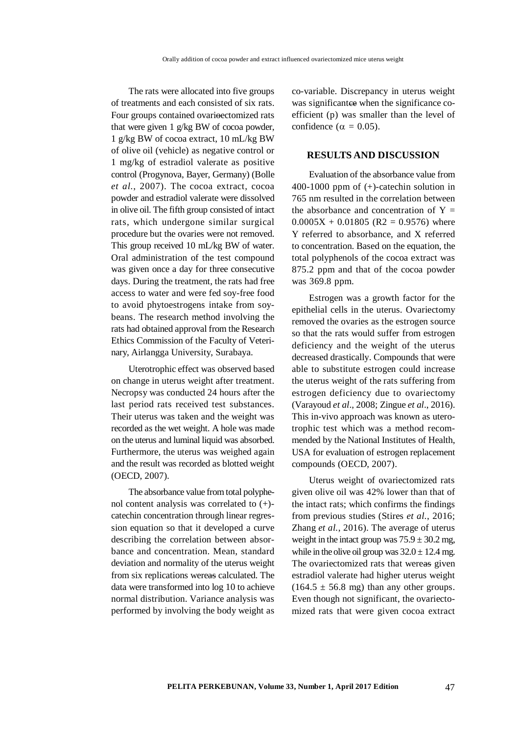The rats were allocated into five groups of treatments and each consisted of six rats. Four groups contained ovarieectomized rats that were given 1 g/kg BW of cocoa powder, 1 g/kg BW of cocoa extract, 10 mL/kg BW of olive oil (vehicle) as negative control or 1 mg/kg of estradiol valerate as positive control (Progynova, Bayer, Germany) (Bolle *et al.*, 2007). The cocoa extract, cocoa powder and estradiol valerate were dissolved in olive oil. The fifth group consisted of intact rats, which undergone similar surgical procedure but the ovaries were not removed. This group received 10 mL/kg BW of water. Oral administration of the test compound was given once a day for three consecutive days. During the treatment, the rats had free access to water and were fed soy-free food to avoid phytoestrogens intake from soybeans. The research method involving the rats had obtained approval from the Research Ethics Commission of the Faculty of Veterinary, Airlangga University, Surabaya.

Uterotrophic effect was observed based on change in uterus weight after treatment. Necropsy was conducted 24 hours after the last period rats received test substances. Their uterus was taken and the weight was recorded as the wet weight. A hole was made on the uterus and luminal liquid was absorbed. Furthermore, the uterus was weighed again and the result was recorded as blotted weight (OECD, 2007).

The absorbance value from total polyphenol content analysis was correlated to (+) catechin concentration through linear regression equation so that it developed a curve describing the correlation between absorbance and concentration. Mean, standard deviation and normality of the uterus weight from six replications wereas calculated. The data were transformed into log 10 to achieve normal distribution. Variance analysis was performed by involving the body weight as

co-variable. Discrepancy in uterus weight was significantee when the significance coefficient (p) was smaller than the level of confidence ( $\alpha = 0.05$ ).

## **RESULTS AND DISCUSSION**

Evaluation of the absorbance value from 400-1000 ppm of (+)-catechin solution in 765 nm resulted in the correlation between the absorbance and concentration of  $Y =$  $0.0005X + 0.01805$  (R2 = 0.9576) where Y referred to absorbance, and X referred to concentration. Based on the equation, the total polyphenols of the cocoa extract was 875.2 ppm and that of the cocoa powder was 369.8 ppm.

Estrogen was a growth factor for the epithelial cells in the uterus. Ovariectomy removed the ovaries as the estrogen source so that the rats would suffer from estrogen deficiency and the weight of the uterus decreased drastically. Compounds that were able to substitute estrogen could increase the uterus weight of the rats suffering from estrogen deficiency due to ovariectomy (Varayoud *et al*., 2008; Zingue *et al*., 2016). This in-vivo approach was known as uterotrophic test which was a method recommended by the National Institutes of Health, USA for evaluation of estrogen replacement compounds (OECD, 2007).

Uterus weight of ovariectomized rats given olive oil was 42% lower than that of the intact rats; which confirms the findings from previous studies (Stires *et al.*, 2016; Zhang *et al.*, 2016). The average of uterus weight in the intact group was  $75.9 \pm 30.2$  mg, while in the olive oil group was  $32.0 \pm 12.4$  mg. The ovariectomized rats that wereas given estradiol valerate had higher uterus weight  $(164.5 \pm 56.8 \text{ mg})$  than any other groups. Even though not significant, the ovariectomized rats that were given cocoa extract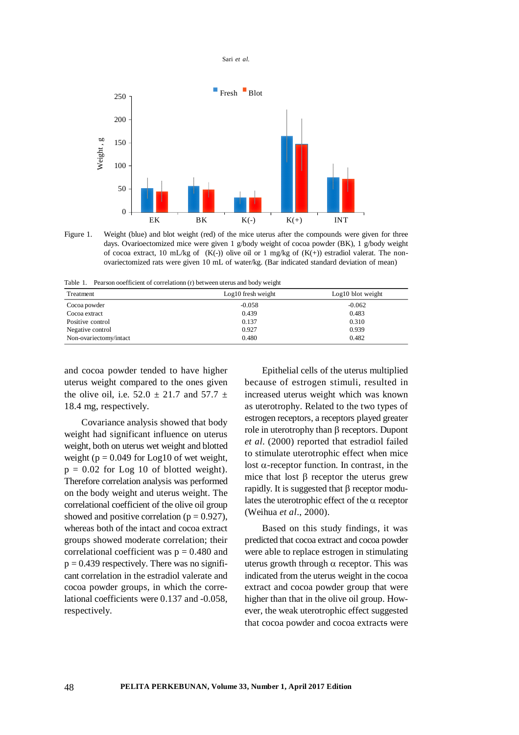Sari *et al.*



Figure 1. Weight (blue) and blot weight (red) of the mice uterus after the compounds were given for three days. Ovarioectomized mice were given 1 g/body weight of cocoa powder (BK), 1 g/body weight of cocoa extract, 10 mL/kg of  $(K(-))$  olive oil or 1 mg/kg of  $(K(+))$  estradiol valerat. The nonovariectomized rats were given 10 mL of water/kg. (Bar indicated standard deviation of mean)

Table 1. Pearson ooefficient of correlationn (r) between uterus and body weight

| Treatment              | Log10 fresh weight | Log10 blot weight |
|------------------------|--------------------|-------------------|
| Cocoa powder           | $-0.058$           | $-0.062$          |
| Cocoa extract          | 0.439              | 0.483             |
| Positive control       | 0.137              | 0.310             |
| Negative control       | 0.927              | 0.939             |
| Non-ovariectomy/intact | 0.480              | 0.482             |

and cocoa powder tended to have higher uterus weight compared to the ones given the olive oil, i.e.  $52.0 \pm 21.7$  and  $57.7 \pm$ 18.4 mg, respectively.

Covariance analysis showed that body weight had significant influence on uterus weight, both on uterus wet weight and blotted weight ( $p = 0.049$  for Log10 of wet weight,  $p = 0.02$  for Log 10 of blotted weight). Therefore correlation analysis was performed on the body weight and uterus weight. The correlational coefficient of the olive oil group showed and positive correlation ( $p = 0.927$ ), whereas both of the intact and cocoa extract groups showed moderate correlation; their correlational coefficient was  $p = 0.480$  and  $p = 0.439$  respectively. There was no significant correlation in the estradiol valerate and cocoa powder groups, in which the correlational coefficients were 0.137 and -0.058, respectively.

Epithelial cells of the uterus multiplied because of estrogen stimuli, resulted in increased uterus weight which was known as uterotrophy. Related to the two types of estrogen receptors, a receptors played greater role in uterotrophy than  $\beta$  receptors. Dupont *et al*. (2000) reported that estradiol failed to stimulate uterotrophic effect when mice lost  $\alpha$ -receptor function. In contrast, in the mice that lost  $\beta$  receptor the uterus grew rapidly. It is suggested that  $\beta$  receptor modulates the uterotrophic effect of the  $\alpha$  receptor (Weihua *et al*., 2000).

Based on this study findings, it was predicted that cocoa extract and cocoa powder were able to replace estrogen in stimulating uterus growth through  $\alpha$  receptor. This was indicated from the uterus weight in the cocoa extract and cocoa powder group that were higher than that in the olive oil group. However, the weak uterotrophic effect suggested that cocoa powder and cocoa extracts were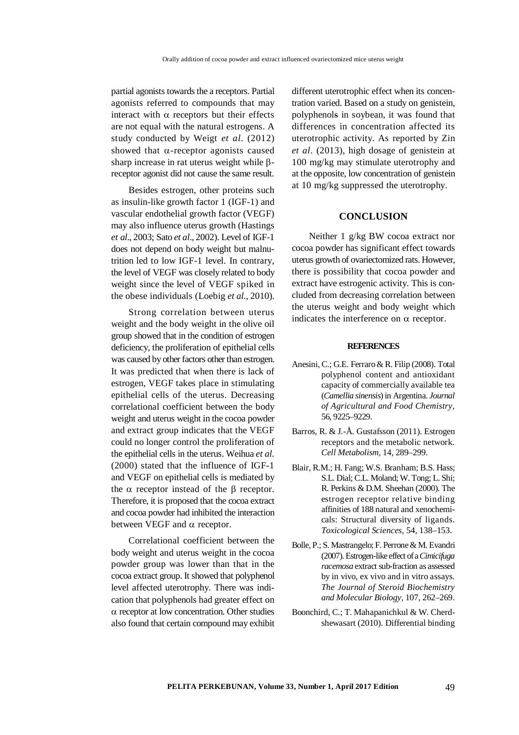partial agonists towards the a receptors. Partial agonists referred to compounds that may interact with  $\alpha$  receptors but their effects are not equal with the natural estrogens. A study conducted by Weigt *et al*. (2012) showed that  $\alpha$ -receptor agonists caused sharp increase in rat uterus weight while  $\beta$ receptor agonist did not cause the same result.

Besides estrogen, other proteins such as insulin-like growth factor 1 (IGF-1) and vascular endothelial growth factor (VEGF) may also influence uterus growth (Hastings *et al*., 2003; Sato *et al*., 2002). Level of IGF-1 does not depend on body weight but malnutrition led to low IGF-1 level. In contrary, the level of VEGF was closely related to body weight since the level of VEGF spiked in the obese individuals (Loebig *et al.*, 2010).

Strong correlation between uterus weight and the body weight in the olive oil group showed that in the condition of estrogen deficiency, the proliferation of epithelial cells was caused by other factors other than estrogen. It was predicted that when there is lack of estrogen, VEGF takes place in stimulating epithelial cells of the uterus. Decreasing correlational coefficient between the body weight and uterus weight in the cocoa powder and extract group indicates that the VEGF could no longer control the proliferation of the epithelial cells in the uterus. Weihua *et al.* (2000) stated that the influence of IGF-1 and VEGF on epithelial cells is mediated by the  $\alpha$  receptor instead of the  $\beta$  receptor. Therefore, it is proposed that the cocoa extract and cocoa powder had inhibited the interaction between VEGF and  $\alpha$  receptor.

Correlational coefficient between the body weight and uterus weight in the cocoa powder group was lower than that in the cocoa extract group. It showed that polyphenol level affected uterotrophy. There was indication that polyphenols had greater effect on  $\alpha$  receptor at low concentration. Other studies also found that certain compound may exhibit

different uterotrophic effect when its concentration varied. Based on a study on genistein, polyphenols in soybean, it was found that differences in concentration affected its uterotrophic activity. As reported by Zin *et al*. (2013), high dosage of genistein at 100 mg/kg may stimulate uterotrophy and at the opposite, low concentration of genistein at 10 mg/kg suppressed the uterotrophy.

## **CONCLUSION**

Neither 1 g/kg BW cocoa extract nor cocoa powder has significant effect towards uterus growth of ovariectomized rats. However, there is possibility that cocoa powder and extract have estrogenic activity. This is concluded from decreasing correlation between the uterus weight and body weight which indicates the interference on  $\alpha$  receptor.

### **REFERENCES**

- Anesini, C.; G.E. Ferraro & R. Filip (2008). Total polyphenol content and antioxidant capacity of commercially available tea (*Camellia sinensis*) in Argentina. *Journal of Agricultural and Food Chemistry,* 56, 9225–9229.
- Barros, R. & J.-Å. Gustafsson (2011). Estrogen receptors and the metabolic network. *Cell Metabolism,* 14, 289–299.
- Blair, R.M.; H. Fang; W.S. Branham; B.S. Hass; S.L. Dial; C.L. Moland; W. Tong; L. Shi; R. Perkins & D.M. Sheehan (2000). The estrogen receptor relative binding affinities of 188 natural and xenochemicals: Structural diversity of ligands. *Toxicological Sciences,* 54, 138–153.
- Bolle, P.; S. Mastrangelo; F. Perrone & M. Evandri (2007). Estrogen-like effect of a *Cimicifuga racemosa* extract sub-fraction as assessed by in vivo, ex vivo and in vitro assays. *The Journal of Steroid Biochemistry and Molecular Biology,* 107, 262–269.
- Boonchird, C.; T. Mahapanichkul & W. Cherdshewasart (2010). Differential binding